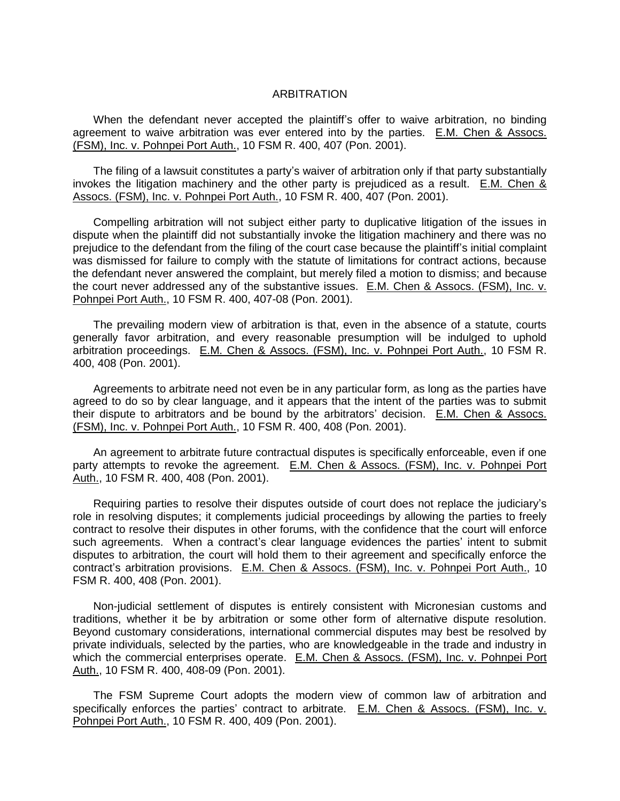## **ARBITRATION**

When the defendant never accepted the plaintiff's offer to waive arbitration, no binding agreement to waive arbitration was ever entered into by the parties. E.M. Chen & Assocs. (FSM), Inc. v. Pohnpei Port Auth., 10 FSM R. 400, 407 (Pon. 2001).

The filing of a lawsuit constitutes a party's waiver of arbitration only if that party substantially invokes the litigation machinery and the other party is prejudiced as a result. E.M. Chen & Assocs. (FSM), Inc. v. Pohnpei Port Auth., 10 FSM R. 400, 407 (Pon. 2001).

Compelling arbitration will not subject either party to duplicative litigation of the issues in dispute when the plaintiff did not substantially invoke the litigation machinery and there was no prejudice to the defendant from the filing of the court case because the plaintiff's initial complaint was dismissed for failure to comply with the statute of limitations for contract actions, because the defendant never answered the complaint, but merely filed a motion to dismiss; and because the court never addressed any of the substantive issues. E.M. Chen & Assocs. (FSM), Inc. v. Pohnpei Port Auth., 10 FSM R. 400, 407-08 (Pon. 2001).

The prevailing modern view of arbitration is that, even in the absence of a statute, courts generally favor arbitration, and every reasonable presumption will be indulged to uphold arbitration proceedings. E.M. Chen & Assocs. (FSM), Inc. v. Pohnpei Port Auth., 10 FSM R. 400, 408 (Pon. 2001).

Agreements to arbitrate need not even be in any particular form, as long as the parties have agreed to do so by clear language, and it appears that the intent of the parties was to submit their dispute to arbitrators and be bound by the arbitrators' decision. E.M. Chen & Assocs. (FSM), Inc. v. Pohnpei Port Auth., 10 FSM R. 400, 408 (Pon. 2001).

An agreement to arbitrate future contractual disputes is specifically enforceable, even if one party attempts to revoke the agreement. E.M. Chen & Assocs. (FSM), Inc. v. Pohnpei Port Auth., 10 FSM R. 400, 408 (Pon. 2001).

Requiring parties to resolve their disputes outside of court does not replace the judiciary's role in resolving disputes; it complements judicial proceedings by allowing the parties to freely contract to resolve their disputes in other forums, with the confidence that the court will enforce such agreements. When a contract's clear language evidences the parties' intent to submit disputes to arbitration, the court will hold them to their agreement and specifically enforce the contract's arbitration provisions. E.M. Chen & Assocs. (FSM), Inc. v. Pohnpei Port Auth., 10 FSM R. 400, 408 (Pon. 2001).

Non-judicial settlement of disputes is entirely consistent with Micronesian customs and traditions, whether it be by arbitration or some other form of alternative dispute resolution. Beyond customary considerations, international commercial disputes may best be resolved by private individuals, selected by the parties, who are knowledgeable in the trade and industry in which the commercial enterprises operate. E.M. Chen & Assocs. (FSM), Inc. v. Pohnpei Port Auth., 10 FSM R. 400, 408-09 (Pon. 2001).

The FSM Supreme Court adopts the modern view of common law of arbitration and specifically enforces the parties' contract to arbitrate. E.M. Chen & Assocs. (FSM), Inc. v. Pohnpei Port Auth., 10 FSM R. 400, 409 (Pon. 2001).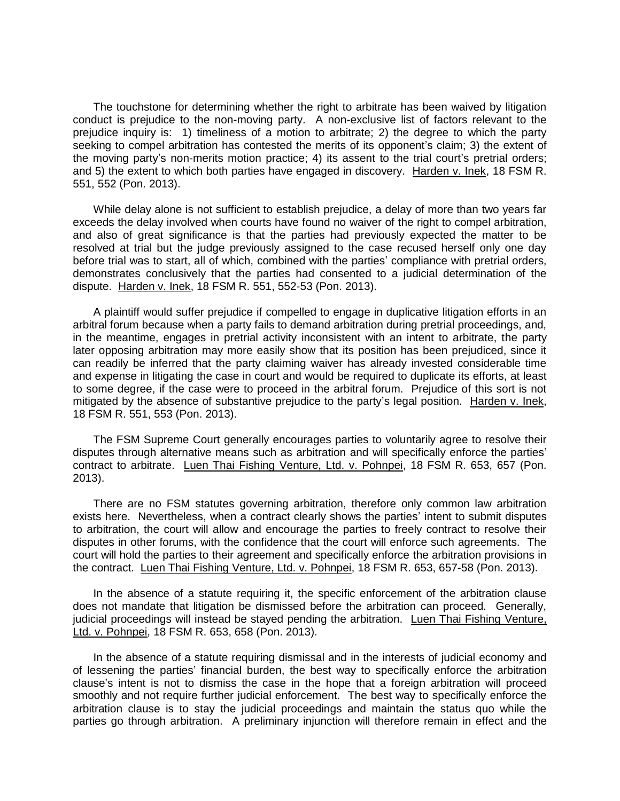The touchstone for determining whether the right to arbitrate has been waived by litigation conduct is prejudice to the non-moving party. A non-exclusive list of factors relevant to the prejudice inquiry is: 1) timeliness of a motion to arbitrate; 2) the degree to which the party seeking to compel arbitration has contested the merits of its opponent's claim; 3) the extent of the moving party's non-merits motion practice; 4) its assent to the trial court's pretrial orders; and 5) the extent to which both parties have engaged in discovery. Harden v. Inek, 18 FSM R. 551, 552 (Pon. 2013).

While delay alone is not sufficient to establish prejudice, a delay of more than two years far exceeds the delay involved when courts have found no waiver of the right to compel arbitration, and also of great significance is that the parties had previously expected the matter to be resolved at trial but the judge previously assigned to the case recused herself only one day before trial was to start, all of which, combined with the parties' compliance with pretrial orders, demonstrates conclusively that the parties had consented to a judicial determination of the dispute. Harden v. Inek, 18 FSM R. 551, 552-53 (Pon. 2013).

A plaintiff would suffer prejudice if compelled to engage in duplicative litigation efforts in an arbitral forum because when a party fails to demand arbitration during pretrial proceedings, and, in the meantime, engages in pretrial activity inconsistent with an intent to arbitrate, the party later opposing arbitration may more easily show that its position has been prejudiced, since it can readily be inferred that the party claiming waiver has already invested considerable time and expense in litigating the case in court and would be required to duplicate its efforts, at least to some degree, if the case were to proceed in the arbitral forum. Prejudice of this sort is not mitigated by the absence of substantive prejudice to the party's legal position. Harden v. Inek, 18 FSM R. 551, 553 (Pon. 2013).

The FSM Supreme Court generally encourages parties to voluntarily agree to resolve their disputes through alternative means such as arbitration and will specifically enforce the parties' contract to arbitrate. Luen Thai Fishing Venture, Ltd. v. Pohnpei, 18 FSM R. 653, 657 (Pon. 2013).

There are no FSM statutes governing arbitration, therefore only common law arbitration exists here. Nevertheless, when a contract clearly shows the parties' intent to submit disputes to arbitration, the court will allow and encourage the parties to freely contract to resolve their disputes in other forums, with the confidence that the court will enforce such agreements. The court will hold the parties to their agreement and specifically enforce the arbitration provisions in the contract. Luen Thai Fishing Venture, Ltd. v. Pohnpei, 18 FSM R. 653, 657-58 (Pon. 2013).

In the absence of a statute requiring it, the specific enforcement of the arbitration clause does not mandate that litigation be dismissed before the arbitration can proceed. Generally, judicial proceedings will instead be stayed pending the arbitration. Luen Thai Fishing Venture, Ltd. v. Pohnpei, 18 FSM R. 653, 658 (Pon. 2013).

In the absence of a statute requiring dismissal and in the interests of judicial economy and of lessening the parties' financial burden, the best way to specifically enforce the arbitration clause's intent is not to dismiss the case in the hope that a foreign arbitration will proceed smoothly and not require further judicial enforcement. The best way to specifically enforce the arbitration clause is to stay the judicial proceedings and maintain the status quo while the parties go through arbitration. A preliminary injunction will therefore remain in effect and the